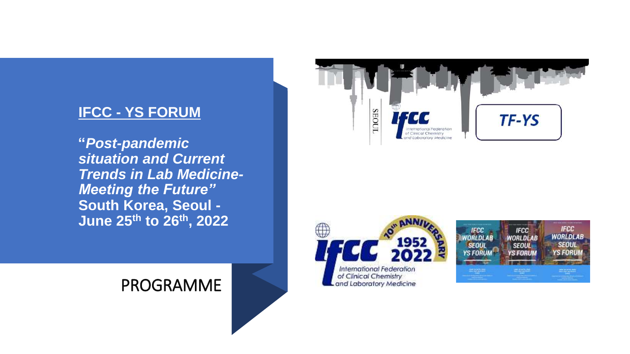## **IFCC - YS FORUM**

**"***Post-pandemic situation and Current Trends in Lab Medicine-Meeting the Future"* **South Korea, Seoul - June 25th to 26th, 2022**







## PROGRAMME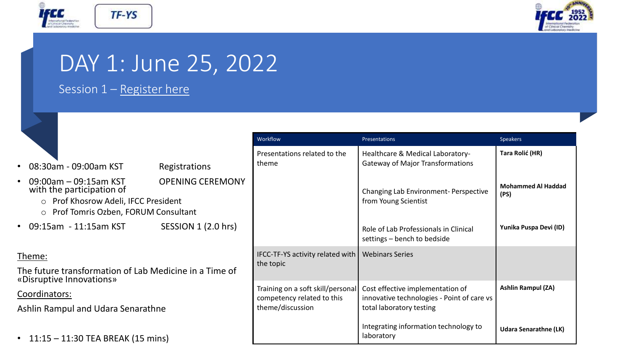



## DAY 1: June 25, 2022

**Registrations** 

### Session  $1 -$  [Register here](https://www.workcast.com/register?cpak=7089623577028485)

TF-YS

|  |  | 08:30am - 09:00am KST |  |
|--|--|-----------------------|--|
|--|--|-----------------------|--|

- 09:00am 09:15am KST OPENING CEREMON with the participation of
	- o Prof Khosrow Adeli, IFCC President
	- o Prof Tomris Ozben, FORUM Consultant
- 09:15am 11:15am KST SESSION 1 (2.0 hrs)

### Theme:

The future transformation of Lab Medicine in a Time of «Disruptive Innovations»

Coordinators:

Ashlin Rampul and Udara Senarathne

• 11:15 – 11:30 TEA BREAK (15 mins)

|   | Workflow                                                                            | Presentations                                                                                              | <b>Speakers</b>                   |
|---|-------------------------------------------------------------------------------------|------------------------------------------------------------------------------------------------------------|-----------------------------------|
|   | Presentations related to the<br>theme                                               | Healthcare & Medical Laboratory-<br><b>Gateway of Major Transformations</b>                                | Tara Rolić (HR)                   |
| Y |                                                                                     | <b>Changing Lab Environment- Perspective</b><br>from Young Scientist                                       | <b>Mohammed Al Haddad</b><br>(PS) |
|   |                                                                                     | Role of Lab Professionals in Clinical<br>settings - bench to bedside                                       | Yunika Puspa Devi (ID)            |
|   | IFCC-TF-YS activity related with<br>the topic                                       | <b>Webinars Series</b>                                                                                     |                                   |
|   | Training on a soft skill/personal<br>competency related to this<br>theme/discussion | Cost effective implementation of<br>innovative technologies - Point of care vs<br>total laboratory testing | <b>Ashlin Rampul (ZA)</b>         |
|   |                                                                                     | Integrating information technology to<br>laboratory                                                        | <b>Udara Senarathne (LK)</b>      |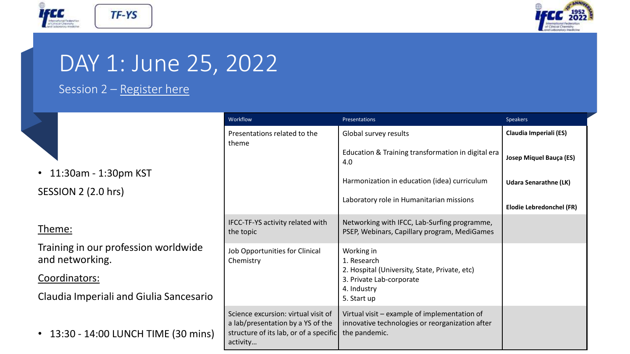



## DAY 1: June 25, 2022

## Session 2 – Register here

• 11:30am - 1:30pm KST SESSION 2 (2.0 hrs)

### Theme:

Training in our profession worldwide and networking.

### Coordinators:

Claudia Imperiali and Giulia Sancesario

• 13:30 - 14:00 LUNCH TIME (30 mins)

| Workflow                                                                                                                       | Presentations                                                                                                                        | <b>Speakers</b>              |
|--------------------------------------------------------------------------------------------------------------------------------|--------------------------------------------------------------------------------------------------------------------------------------|------------------------------|
| Presentations related to the<br>theme                                                                                          | Global survey results                                                                                                                | Claudia Imperiali (ES)       |
|                                                                                                                                | Education & Training transformation in digital era<br>4.0                                                                            | Josep Miquel Bauça (ES)      |
|                                                                                                                                | Harmonization in education (idea) curriculum                                                                                         | <b>Udara Senarathne (LK)</b> |
|                                                                                                                                | Laboratory role in Humanitarian missions                                                                                             | Elodie Lebredonchel (FR)     |
| IFCC-TF-YS activity related with<br>the topic                                                                                  | Networking with IFCC, Lab-Surfing programme,<br>PSEP, Webinars, Capillary program, MediGames                                         |                              |
| Job Opportunities for Clinical<br>Chemistry                                                                                    | Working in<br>1. Research<br>2. Hospital (University, State, Private, etc)<br>3. Private Lab-corporate<br>4. Industry<br>5. Start up |                              |
| Science excursion: virtual visit of<br>a lab/presentation by a YS of the<br>structure of its lab, or of a specific<br>activity | Virtual visit - example of implementation of<br>innovative technologies or reorganization after<br>the pandemic.                     |                              |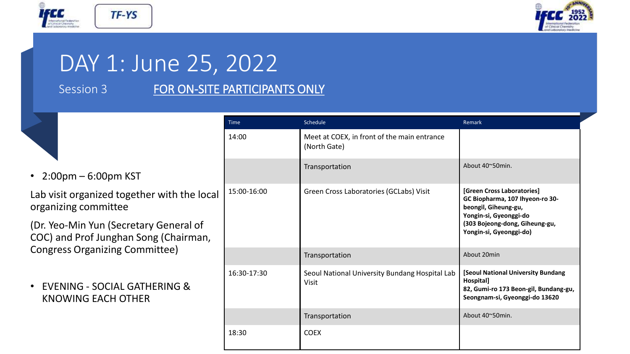



# DAY 1: June 25, 2022

## Session 3 FOR ON-SITE PARTICIPANTS ONLY

| $\bullet$ | $2:00$ pm – 6:00pm KST |  |  |
|-----------|------------------------|--|--|
|-----------|------------------------|--|--|

Lab visit organized together with the local organizing committee

(Dr. Yeo-Min Yun (Secretary General of COC) and Prof Junghan Song (Chairman, Congress Organizing Committee)

• EVENING - SOCIAL GATHERING & KNOWING EACH OTHER

| <b>Time</b> | Schedule                                                    | Remark                                                                                                                                                                       |
|-------------|-------------------------------------------------------------|------------------------------------------------------------------------------------------------------------------------------------------------------------------------------|
| 14:00       | Meet at COEX, in front of the main entrance<br>(North Gate) |                                                                                                                                                                              |
|             | Transportation                                              | About 40~50min.                                                                                                                                                              |
| 15:00-16:00 | Green Cross Laboratories (GCLabs) Visit                     | [Green Cross Laboratories]<br>GC Biopharma, 107 Ihyeon-ro 30-<br>beongil, Giheung-gu,<br>Yongin-si, Gyeonggi-do<br>(303 Bojeong-dong, Giheung-gu,<br>Yongin-si, Gyeonggi-do) |
|             | Transportation                                              | About 20min                                                                                                                                                                  |
| 16:30-17:30 | Seoul National University Bundang Hospital Lab<br>Visit     | [Seoul National University Bundang<br>Hospital]<br>82, Gumi-ro 173 Beon-gil, Bundang-gu,<br>Seongnam-si, Gyeonggi-do 13620                                                   |
|             | Transportation                                              | About 40~50min.                                                                                                                                                              |
| 18:30       | <b>COEX</b>                                                 |                                                                                                                                                                              |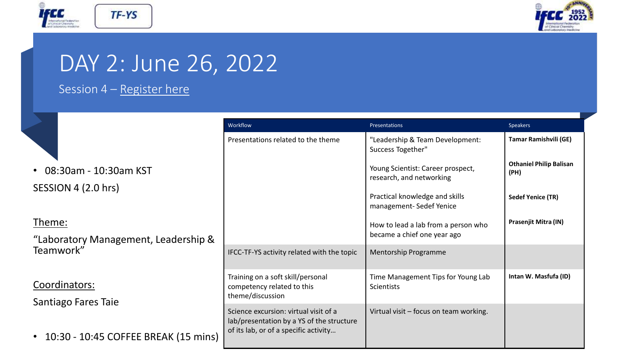



# DAY 2: June 26, 2022

## Session 4 – Register here

|  | • 08:30am - 10:30am KST |
|--|-------------------------|
|  |                         |

SESSION 4 (2.0 hrs)

Theme:

"Laboratory Management, Leadership & Teamwork"

Coordinators:

Santiago Fares Taie

• 10:30 - 10:45 COFFEE BREAK (15 mi

|      | Workflow                                                                                                                    | Presentations                                                      | <b>Speakers</b>                        |
|------|-----------------------------------------------------------------------------------------------------------------------------|--------------------------------------------------------------------|----------------------------------------|
|      | Presentations related to the theme                                                                                          | "Leadership & Team Development:<br>Success Together"               | <b>Tamar Ramishvili (GE)</b>           |
|      |                                                                                                                             | Young Scientist: Career prospect,<br>research, and networking      | <b>Othaniel Philip Balisan</b><br>(PH) |
|      |                                                                                                                             | Practical knowledge and skills<br>management-Sedef Yenice          | <b>Sedef Yenice (TR)</b>               |
| &    |                                                                                                                             | How to lead a lab from a person who<br>became a chief one year ago | Prasenjit Mitra (IN)                   |
|      | IFCC-TF-YS activity related with the topic                                                                                  | <b>Mentorship Programme</b>                                        |                                        |
|      | Training on a soft skill/personal<br>competency related to this<br>theme/discussion                                         | Time Management Tips for Young Lab<br><b>Scientists</b>            | Intan W. Masfufa (ID)                  |
| ins) | Science excursion: virtual visit of a<br>lab/presentation by a YS of the structure<br>of its lab, or of a specific activity | Virtual visit - focus on team working.                             |                                        |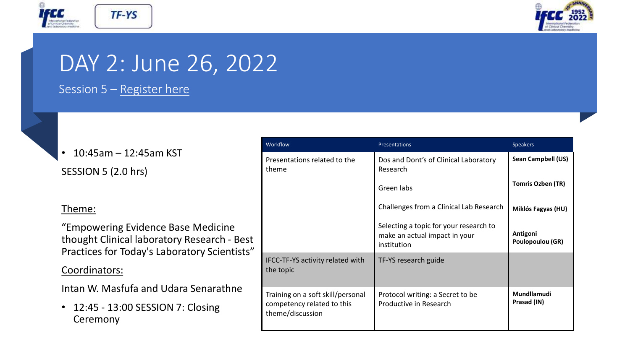



# DAY 2: June 26, 2022

Session 5 – Register here

• 10:45am – 12:45am KST

SESSION 5 (2.0 hrs)

### Theme:

"Empowering Evidence Base Medicine thought Clinical laboratory Research - Best Practices for Today's Laboratory Scientists"

### Coordinators:

Intan W. Masfufa and Udara Senarathne

• 12:45 - 13:00 SESSION 7: Closing Ceremony

| Workflow                                                                            | <b>Presentations</b>                                                                   | <b>Speakers</b>              |
|-------------------------------------------------------------------------------------|----------------------------------------------------------------------------------------|------------------------------|
| Presentations related to the<br>theme                                               | Dos and Dont's of Clinical Laboratory<br>Research                                      | Sean Campbell (US)           |
|                                                                                     | Green labs                                                                             | <b>Tomris Ozben (TR)</b>     |
|                                                                                     | Challenges from a Clinical Lab Research                                                | Miklós Fagyas (HU)           |
|                                                                                     | Selecting a topic for your research to<br>make an actual impact in your<br>institution | Antigoni<br>Poulopoulou (GR) |
| IFCC-TF-YS activity related with<br>the topic                                       | TF-YS research guide                                                                   |                              |
| Training on a soft skill/personal<br>competency related to this<br>theme/discussion | Protocol writing: a Secret to be<br>Productive in Research                             | Mundllamudi<br>Prasad (IN)   |